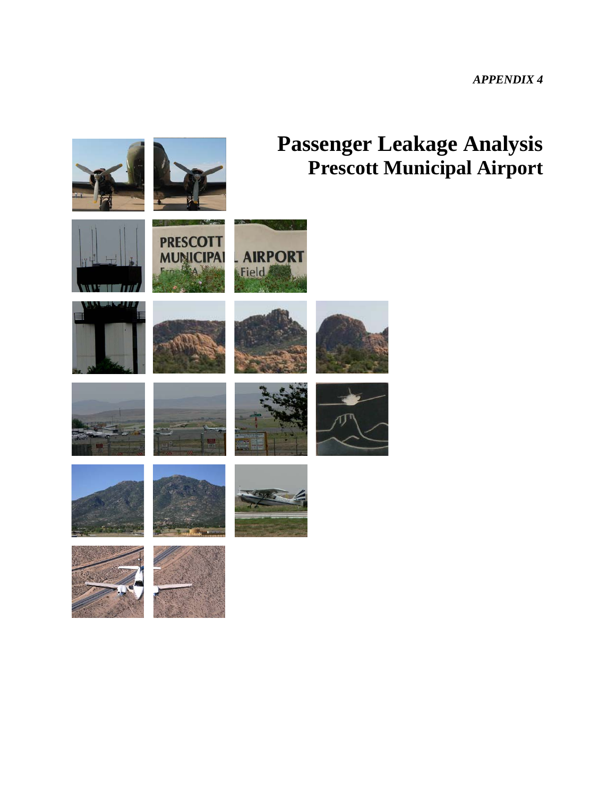*APPENDIX 4* 

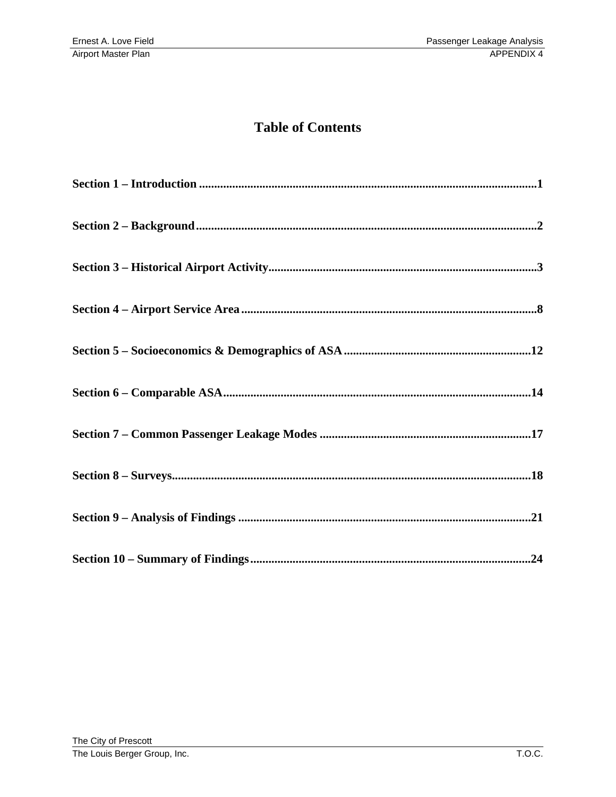### **Table of Contents**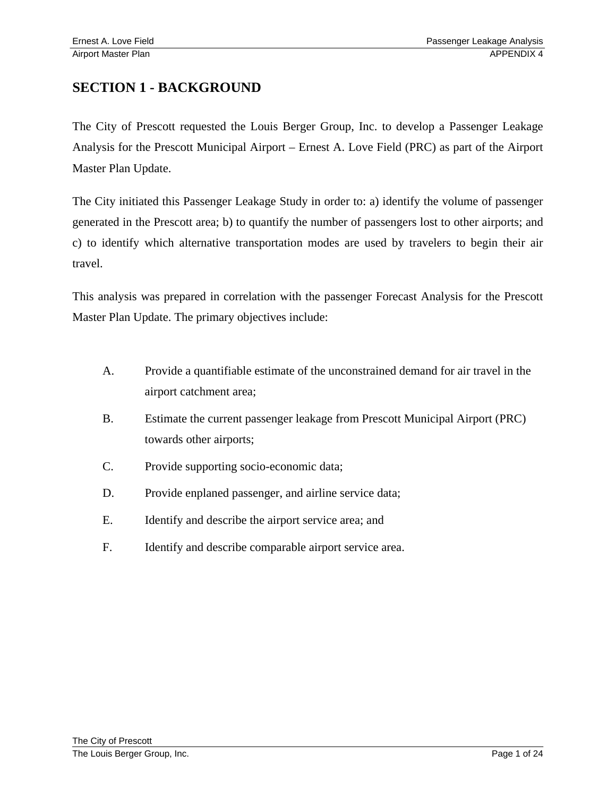# **SECTION 1 - BACKGROUND**

The City of Prescott requested the Louis Berger Group, Inc. to develop a Passenger Leakage Analysis for the Prescott Municipal Airport – Ernest A. Love Field (PRC) as part of the Airport Master Plan Update.

The City initiated this Passenger Leakage Study in order to: a) identify the volume of passenger generated in the Prescott area; b) to quantify the number of passengers lost to other airports; and c) to identify which alternative transportation modes are used by travelers to begin their air travel.

This analysis was prepared in correlation with the passenger Forecast Analysis for the Prescott Master Plan Update. The primary objectives include:

- A. Provide a quantifiable estimate of the unconstrained demand for air travel in the airport catchment area;
- B. Estimate the current passenger leakage from Prescott Municipal Airport (PRC) towards other airports;
- C. Provide supporting socio-economic data;
- D. Provide enplaned passenger, and airline service data;
- E. Identify and describe the airport service area; and
- F. Identify and describe comparable airport service area.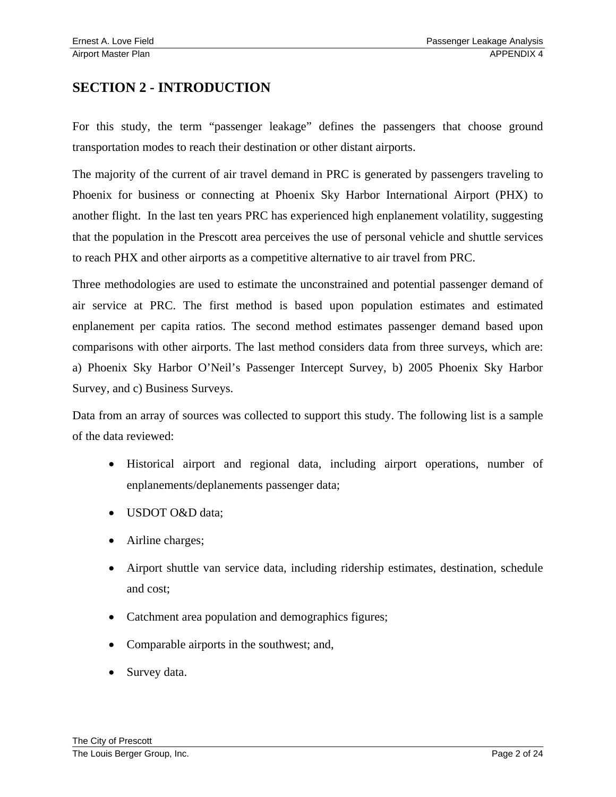# **SECTION 2 - INTRODUCTION**

For this study, the term "passenger leakage" defines the passengers that choose ground transportation modes to reach their destination or other distant airports.

The majority of the current of air travel demand in PRC is generated by passengers traveling to Phoenix for business or connecting at Phoenix Sky Harbor International Airport (PHX) to another flight. In the last ten years PRC has experienced high enplanement volatility, suggesting that the population in the Prescott area perceives the use of personal vehicle and shuttle services to reach PHX and other airports as a competitive alternative to air travel from PRC.

Three methodologies are used to estimate the unconstrained and potential passenger demand of air service at PRC. The first method is based upon population estimates and estimated enplanement per capita ratios. The second method estimates passenger demand based upon comparisons with other airports. The last method considers data from three surveys, which are: a) Phoenix Sky Harbor O'Neil's Passenger Intercept Survey, b) 2005 Phoenix Sky Harbor Survey, and c) Business Surveys.

Data from an array of sources was collected to support this study. The following list is a sample of the data reviewed:

- Historical airport and regional data, including airport operations, number of enplanements/deplanements passenger data;
- USDOT O&D data:
- Airline charges;
- Airport shuttle van service data, including ridership estimates, destination, schedule and cost;
- Catchment area population and demographics figures;
- Comparable airports in the southwest; and,
- Survey data.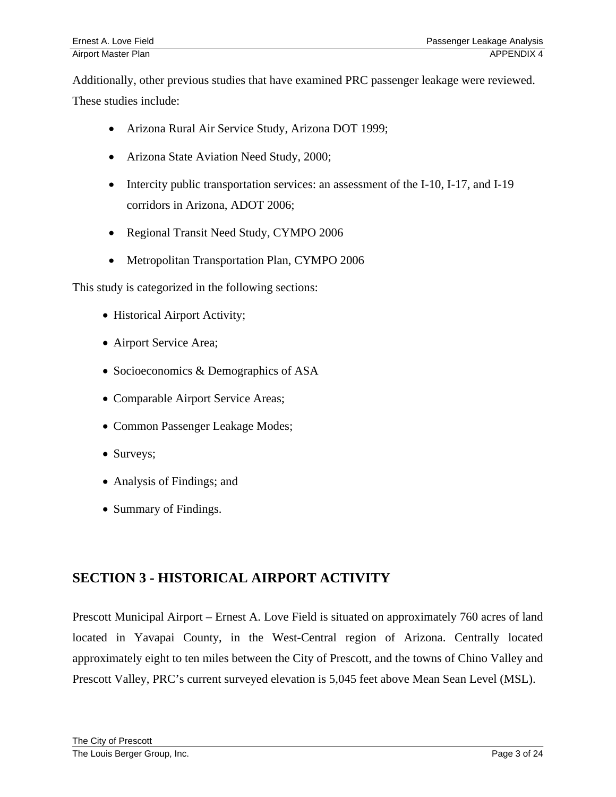Additionally, other previous studies that have examined PRC passenger leakage were reviewed. These studies include:

- Arizona Rural Air Service Study, Arizona DOT 1999;
- Arizona State Aviation Need Study, 2000;
- Intercity public transportation services: an assessment of the I-10, I-17, and I-19 corridors in Arizona, ADOT 2006;
- Regional Transit Need Study, CYMPO 2006
- Metropolitan Transportation Plan, CYMPO 2006

This study is categorized in the following sections:

- Historical Airport Activity;
- Airport Service Area;
- Socioeconomics & Demographics of ASA
- Comparable Airport Service Areas;
- Common Passenger Leakage Modes;
- Surveys;
- Analysis of Findings; and
- Summary of Findings.

## **SECTION 3 - HISTORICAL AIRPORT ACTIVITY**

Prescott Municipal Airport – Ernest A. Love Field is situated on approximately 760 acres of land located in Yavapai County, in the West-Central region of Arizona. Centrally located approximately eight to ten miles between the City of Prescott, and the towns of Chino Valley and Prescott Valley, PRC's current surveyed elevation is 5,045 feet above Mean Sean Level (MSL).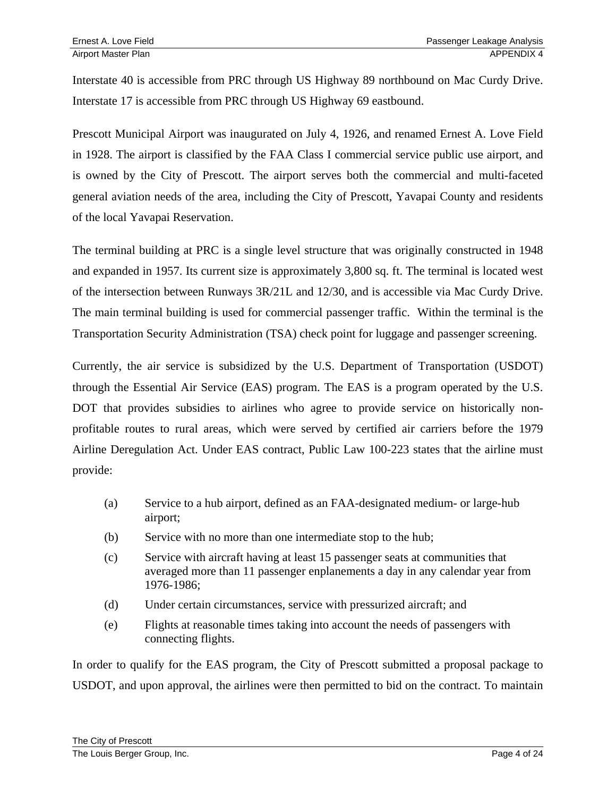Interstate 40 is accessible from PRC through US Highway 89 northbound on Mac Curdy Drive. Interstate 17 is accessible from PRC through US Highway 69 eastbound.

Prescott Municipal Airport was inaugurated on July 4, 1926, and renamed Ernest A. Love Field in 1928. The airport is classified by the FAA Class I commercial service public use airport, and is owned by the City of Prescott. The airport serves both the commercial and multi-faceted general aviation needs of the area, including the City of Prescott, Yavapai County and residents of the local Yavapai Reservation.

The terminal building at PRC is a single level structure that was originally constructed in 1948 and expanded in 1957. Its current size is approximately 3,800 sq. ft. The terminal is located west of the intersection between Runways 3R/21L and 12/30, and is accessible via Mac Curdy Drive. The main terminal building is used for commercial passenger traffic. Within the terminal is the Transportation Security Administration (TSA) check point for luggage and passenger screening.

Currently, the air service is subsidized by the U.S. Department of Transportation (USDOT) through the Essential Air Service (EAS) program. The EAS is a program operated by the U.S. DOT that provides subsidies to airlines who agree to provide service on historically nonprofitable routes to rural areas, which were served by certified air carriers before the 1979 Airline Deregulation Act. Under EAS contract, Public Law 100-223 states that the airline must provide:

- (a) Service to a hub airport, defined as an FAA-designated medium- or large-hub airport;
- (b) Service with no more than one intermediate stop to the hub;
- (c) Service with aircraft having at least 15 passenger seats at communities that averaged more than 11 passenger enplanements a day in any calendar year from 1976-1986;
- (d) Under certain circumstances, service with pressurized aircraft; and
- (e) Flights at reasonable times taking into account the needs of passengers with connecting flights.

In order to qualify for the EAS program, the City of Prescott submitted a proposal package to USDOT, and upon approval, the airlines were then permitted to bid on the contract. To maintain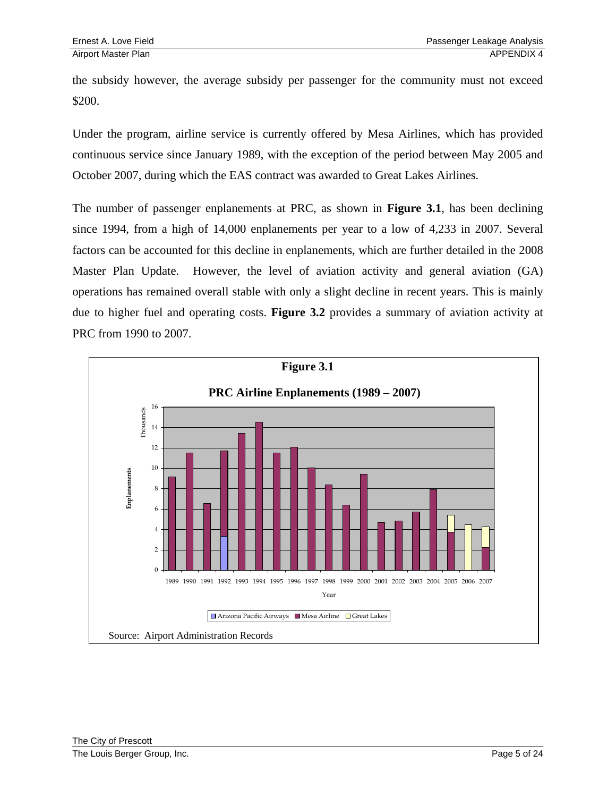the subsidy however, the average subsidy per passenger for the community must not exceed \$200.

Under the program, airline service is currently offered by Mesa Airlines, which has provided continuous service since January 1989, with the exception of the period between May 2005 and October 2007, during which the EAS contract was awarded to Great Lakes Airlines.

The number of passenger enplanements at PRC, as shown in **Figure 3.1**, has been declining since 1994, from a high of 14,000 enplanements per year to a low of 4,233 in 2007. Several factors can be accounted for this decline in enplanements, which are further detailed in the 2008 Master Plan Update. However, the level of aviation activity and general aviation (GA) operations has remained overall stable with only a slight decline in recent years. This is mainly due to higher fuel and operating costs. **Figure 3.2** provides a summary of aviation activity at PRC from 1990 to 2007.

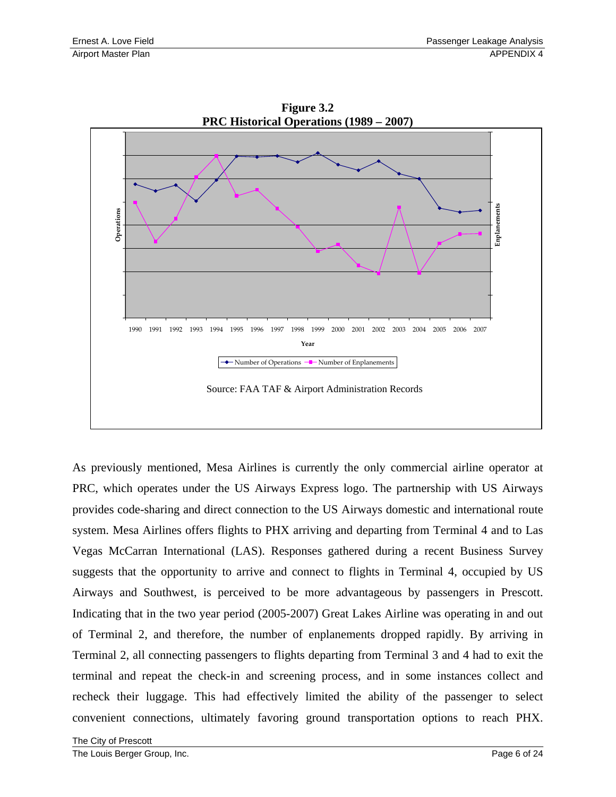

**Figure 3.2 PRC Historical Operations (1989 – 2007)** 

As previously mentioned, Mesa Airlines is currently the only commercial airline operator at PRC, which operates under the US Airways Express logo. The partnership with US Airways provides code-sharing and direct connection to the US Airways domestic and international route system. Mesa Airlines offers flights to PHX arriving and departing from Terminal 4 and to Las Vegas McCarran International (LAS). Responses gathered during a recent Business Survey suggests that the opportunity to arrive and connect to flights in Terminal 4, occupied by US Airways and Southwest, is perceived to be more advantageous by passengers in Prescott. Indicating that in the two year period (2005-2007) Great Lakes Airline was operating in and out of Terminal 2, and therefore, the number of enplanements dropped rapidly. By arriving in Terminal 2, all connecting passengers to flights departing from Terminal 3 and 4 had to exit the terminal and repeat the check-in and screening process, and in some instances collect and recheck their luggage. This had effectively limited the ability of the passenger to select convenient connections, ultimately favoring ground transportation options to reach PHX.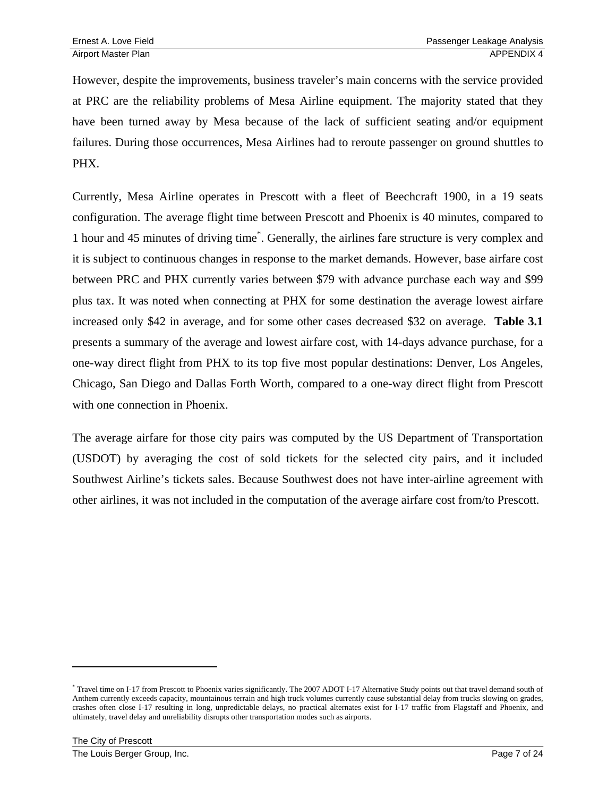However, despite the improvements, business traveler's main concerns with the service provided at PRC are the reliability problems of Mesa Airline equipment. The majority stated that they have been turned away by Mesa because of the lack of sufficient seating and/or equipment failures. During those occurrences, Mesa Airlines had to reroute passenger on ground shuttles to PHX.

Currently, Mesa Airline operates in Prescott with a fleet of Beechcraft 1900, in a 19 seats configuration. The average flight time between Prescott and Phoenix is 40 minutes, compared to 1 hour and 45 minutes of driving time\* . Generally, the airlines fare structure is very complex and it is subject to continuous changes in response to the market demands. However, base airfare cost between PRC and PHX currently varies between \$79 with advance purchase each way and \$99 plus tax. It was noted when connecting at PHX for some destination the average lowest airfare increased only \$42 in average, and for some other cases decreased \$32 on average. **Table 3.1** presents a summary of the average and lowest airfare cost, with 14-days advance purchase, for a one-way direct flight from PHX to its top five most popular destinations: Denver, Los Angeles, Chicago, San Diego and Dallas Forth Worth, compared to a one-way direct flight from Prescott with one connection in Phoenix.

The average airfare for those city pairs was computed by the US Department of Transportation (USDOT) by averaging the cost of sold tickets for the selected city pairs, and it included Southwest Airline's tickets sales. Because Southwest does not have inter-airline agreement with other airlines, it was not included in the computation of the average airfare cost from/to Prescott.

1

<sup>\*</sup> Travel time on I-17 from Prescott to Phoenix varies significantly. The 2007 ADOT I-17 Alternative Study points out that travel demand south of Anthem currently exceeds capacity, mountainous terrain and high truck volumes currently cause substantial delay from trucks slowing on grades, crashes often close I-17 resulting in long, unpredictable delays, no practical alternates exist for I-17 traffic from Flagstaff and Phoenix, and ultimately, travel delay and unreliability disrupts other transportation modes such as airports.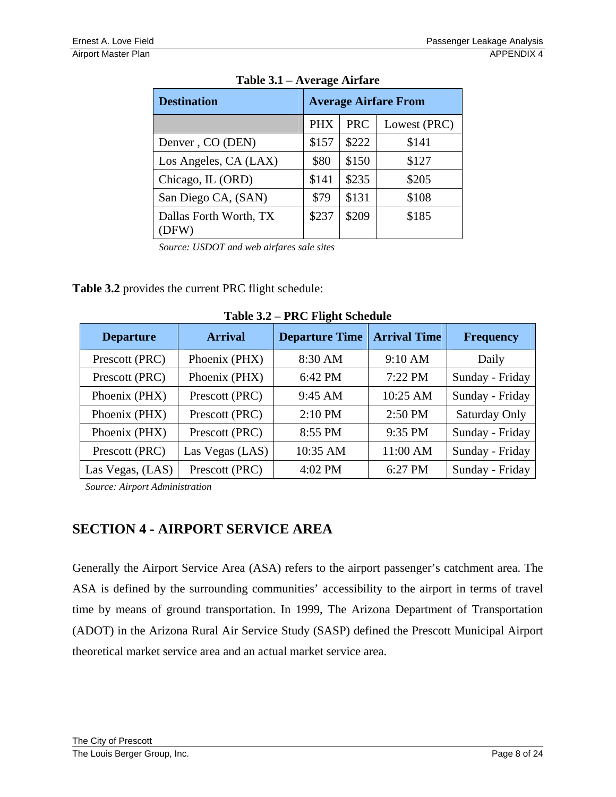| <b>Destination</b>              | <b>Average Airfare From</b> |            |              |  |  |  |
|---------------------------------|-----------------------------|------------|--------------|--|--|--|
|                                 | <b>PHX</b>                  | <b>PRC</b> | Lowest (PRC) |  |  |  |
| Denver, CO (DEN)                | \$157                       | \$222      | \$141        |  |  |  |
| Los Angeles, CA (LAX)           | \$80                        | \$150      | \$127        |  |  |  |
| Chicago, IL (ORD)               | \$141                       | \$235      | \$205        |  |  |  |
| San Diego CA, (SAN)             | \$79                        | \$131      | \$108        |  |  |  |
| Dallas Forth Worth, TX<br>(DFW) | \$237                       | \$209      | \$185        |  |  |  |

**Table 3.1 – Average Airfare** 

*Source: USDOT and web airfares sale sites* 

**Table 3.2** provides the current PRC flight schedule:

| <b>Departure</b> | <b>Arrival</b><br><b>Departure Time</b> |                   | <b>Arrival Time</b> | <b>Frequency</b> |
|------------------|-----------------------------------------|-------------------|---------------------|------------------|
| Prescott (PRC)   | Phoenix (PHX)                           | 8:30 AM           | 9:10 AM             | Daily            |
| Prescott (PRC)   | Phoenix (PHX)                           | $6:42 \text{ PM}$ | 7:22 PM             | Sunday - Friday  |
| Phoenix (PHX)    | Prescott (PRC)                          | 9:45 AM           | 10:25 AM            | Sunday - Friday  |
| Phoenix (PHX)    | Prescott (PRC)                          | $2:10$ PM         | $2:50$ PM           | Saturday Only    |
| Phoenix (PHX)    | Prescott (PRC)                          | 8:55 PM           | $9:35$ PM           | Sunday - Friday  |
| Prescott (PRC)   | Las Vegas (LAS)                         | $10:35$ AM        | 11:00 AM            | Sunday - Friday  |
| Las Vegas, (LAS) | Prescott (PRC)                          | 4:02 PM           | 6:27 PM             | Sunday - Friday  |

**Table 3.2 – PRC Flight Schedule** 

*Source: Airport Administration* 

### **SECTION 4 - AIRPORT SERVICE AREA**

Generally the Airport Service Area (ASA) refers to the airport passenger's catchment area. The ASA is defined by the surrounding communities' accessibility to the airport in terms of travel time by means of ground transportation. In 1999, The Arizona Department of Transportation (ADOT) in the Arizona Rural Air Service Study (SASP) defined the Prescott Municipal Airport theoretical market service area and an actual market service area.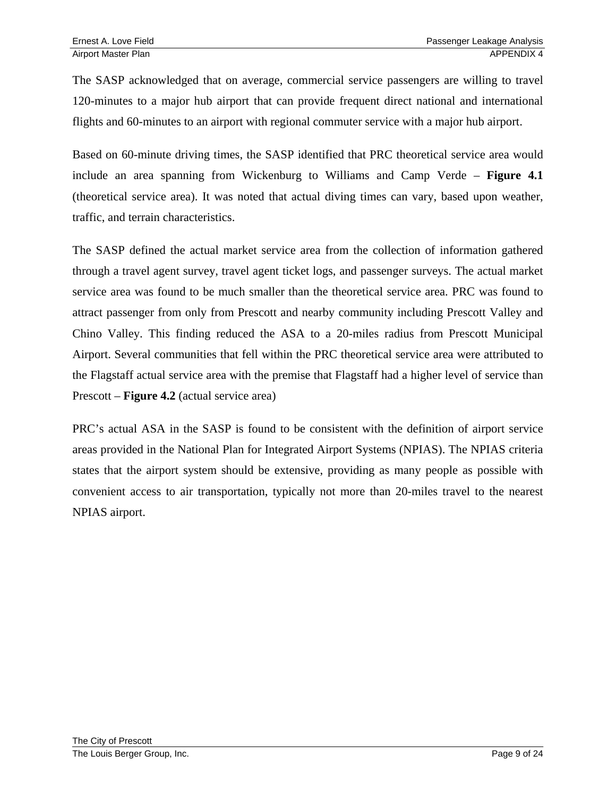The SASP acknowledged that on average, commercial service passengers are willing to travel 120-minutes to a major hub airport that can provide frequent direct national and international flights and 60-minutes to an airport with regional commuter service with a major hub airport.

Based on 60-minute driving times, the SASP identified that PRC theoretical service area would include an area spanning from Wickenburg to Williams and Camp Verde – **Figure 4.1**  (theoretical service area). It was noted that actual diving times can vary, based upon weather, traffic, and terrain characteristics.

The SASP defined the actual market service area from the collection of information gathered through a travel agent survey, travel agent ticket logs, and passenger surveys. The actual market service area was found to be much smaller than the theoretical service area. PRC was found to attract passenger from only from Prescott and nearby community including Prescott Valley and Chino Valley. This finding reduced the ASA to a 20-miles radius from Prescott Municipal Airport. Several communities that fell within the PRC theoretical service area were attributed to the Flagstaff actual service area with the premise that Flagstaff had a higher level of service than Prescott – **Figure 4.2** (actual service area)

PRC's actual ASA in the SASP is found to be consistent with the definition of airport service areas provided in the National Plan for Integrated Airport Systems (NPIAS). The NPIAS criteria states that the airport system should be extensive, providing as many people as possible with convenient access to air transportation, typically not more than 20-miles travel to the nearest NPIAS airport.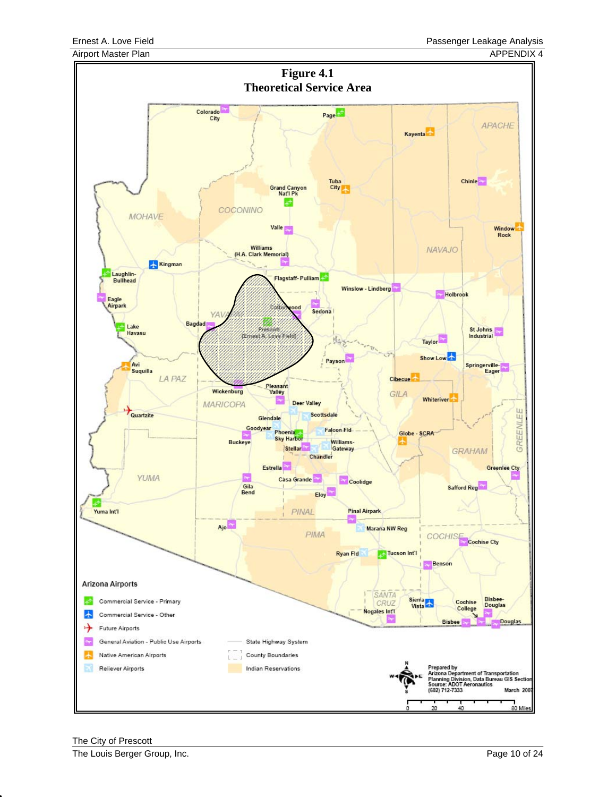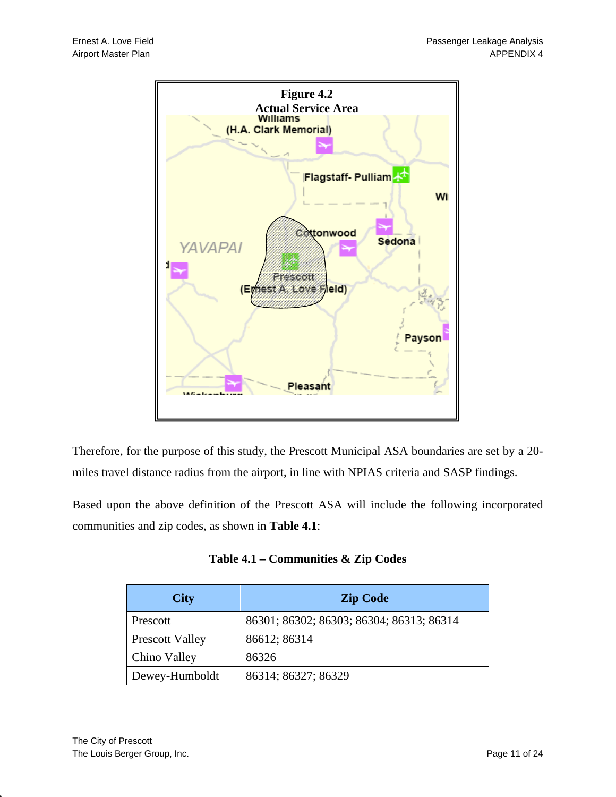

Therefore, for the purpose of this study, the Prescott Municipal ASA boundaries are set by a 20 miles travel distance radius from the airport, in line with NPIAS criteria and SASP findings.

Based upon the above definition of the Prescott ASA will include the following incorporated communities and zip codes, as shown in **Table 4.1**:

| <b>City</b>            | <b>Zip Code</b>                          |
|------------------------|------------------------------------------|
| Prescott               | 86301; 86302; 86303; 86304; 86313; 86314 |
| <b>Prescott Valley</b> | 86612; 86314                             |
| Chino Valley           | 86326                                    |
| Dewey-Humboldt         | 86314; 86327; 86329                      |

|  | Table 4.1 – Communities & Zip Codes |  |  |  |
|--|-------------------------------------|--|--|--|
|--|-------------------------------------|--|--|--|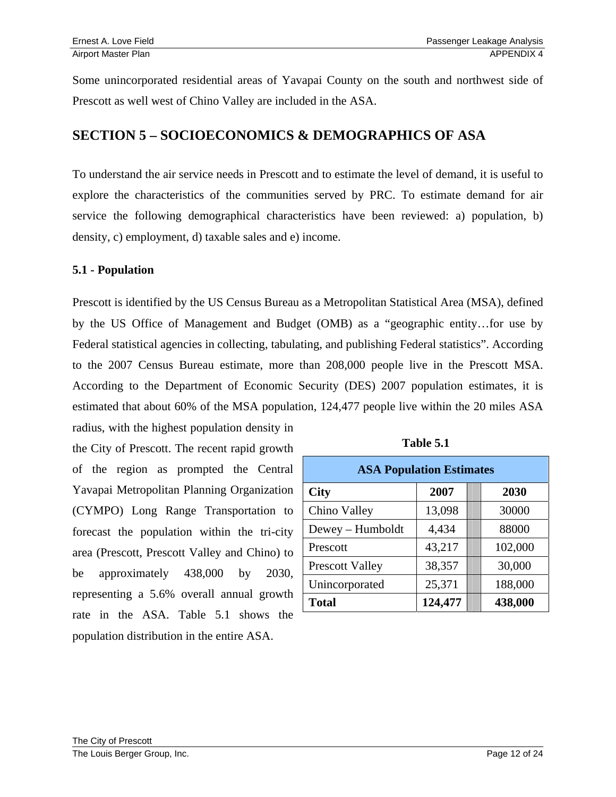Some unincorporated residential areas of Yavapai County on the south and northwest side of Prescott as well west of Chino Valley are included in the ASA.

### **SECTION 5 – SOCIOECONOMICS & DEMOGRAPHICS OF ASA**

To understand the air service needs in Prescott and to estimate the level of demand, it is useful to explore the characteristics of the communities served by PRC. To estimate demand for air service the following demographical characteristics have been reviewed: a) population, b) density, c) employment, d) taxable sales and e) income.

#### **5.1 - Population**

Prescott is identified by the US Census Bureau as a Metropolitan Statistical Area (MSA), defined by the US Office of Management and Budget (OMB) as a "geographic entity…for use by Federal statistical agencies in collecting, tabulating, and publishing Federal statistics". According to the 2007 Census Bureau estimate, more than 208,000 people live in the Prescott MSA. According to the Department of Economic Security (DES) 2007 population estimates, it is estimated that about 60% of the MSA population, 124,477 people live within the 20 miles ASA

radius, with the highest population density in the City of Prescott. The recent rapid growth of the region as prompted the Central Yavapai Metropolitan Planning Organization (CYMPO) Long Range Transportation to forecast the population within the tri-city area (Prescott, Prescott Valley and Chino) to be approximately 438,000 by 2030, representing a 5.6% overall annual growth rate in the ASA. Table 5.1 shows the population distribution in the entire ASA.

| <b>ASA Population Estimates</b> |         |  |         |  |  |  |  |  |
|---------------------------------|---------|--|---------|--|--|--|--|--|
| 2007<br>2030<br><b>City</b>     |         |  |         |  |  |  |  |  |
| Chino Valley                    | 13,098  |  | 30000   |  |  |  |  |  |
| Dewey – Humboldt                | 4,434   |  | 88000   |  |  |  |  |  |
| Prescott                        | 43,217  |  | 102,000 |  |  |  |  |  |
| <b>Prescott Valley</b>          | 38,357  |  | 30,000  |  |  |  |  |  |
| Unincorporated                  | 25,371  |  | 188,000 |  |  |  |  |  |
| <b>Total</b>                    | 124,477 |  | 438,000 |  |  |  |  |  |

**Table 5.1**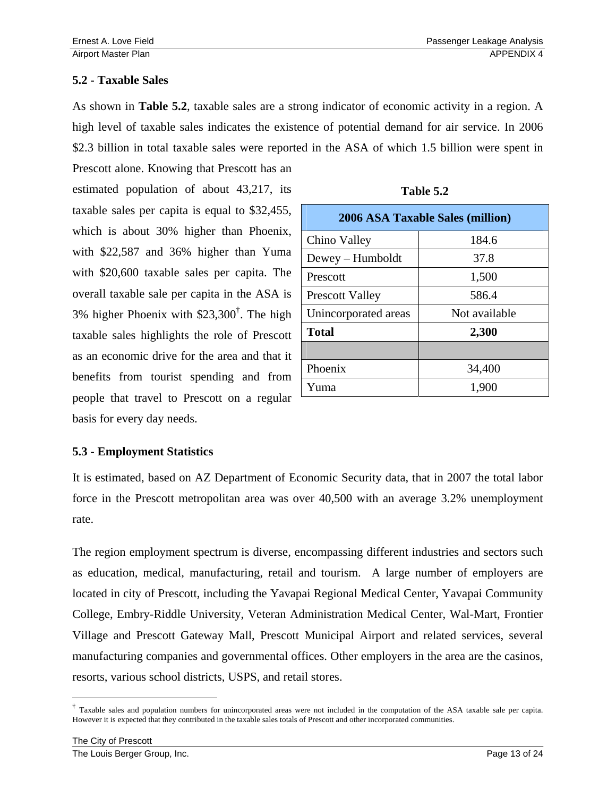#### **5.2 - Taxable Sales**

As shown in **Table 5.2**, taxable sales are a strong indicator of economic activity in a region. A high level of taxable sales indicates the existence of potential demand for air service. In 2006 \$2.3 billion in total taxable sales were reported in the ASA of which 1.5 billion were spent in

Prescott alone. Knowing that Prescott has an estimated population of about 43,217, its taxable sales per capita is equal to \$32,455, which is about 30% higher than Phoenix, with \$22,587 and 36% higher than Yuma with \$20,600 taxable sales per capita. The overall taxable sale per capita in the ASA is 3% higher Phoenix with  $$23,300^{\dagger}$ . The high taxable sales highlights the role of Prescott as an economic drive for the area and that it benefits from tourist spending and from people that travel to Prescott on a regular basis for every day needs.

| 1 aww J.2                               |               |  |  |  |  |  |  |
|-----------------------------------------|---------------|--|--|--|--|--|--|
| <b>2006 ASA Taxable Sales (million)</b> |               |  |  |  |  |  |  |
| Chino Valley                            | 184.6         |  |  |  |  |  |  |
| Dewey – Humboldt                        | 37.8          |  |  |  |  |  |  |
| Prescott                                | 1,500         |  |  |  |  |  |  |
| <b>Prescott Valley</b>                  | 586.4         |  |  |  |  |  |  |
| Unincorporated areas                    | Not available |  |  |  |  |  |  |
| <b>Total</b>                            | 2,300         |  |  |  |  |  |  |
|                                         |               |  |  |  |  |  |  |
| Phoenix                                 | 34,400        |  |  |  |  |  |  |
| Yuma                                    | 1,900         |  |  |  |  |  |  |

| Table 5. |  |  |
|----------|--|--|
|          |  |  |

### **5.3 - Employment Statistics**

It is estimated, based on AZ Department of Economic Security data, that in 2007 the total labor force in the Prescott metropolitan area was over 40,500 with an average 3.2% unemployment rate.

The region employment spectrum is diverse, encompassing different industries and sectors such as education, medical, manufacturing, retail and tourism. A large number of employers are located in city of Prescott, including the Yavapai Regional Medical Center, Yavapai Community College, Embry-Riddle University, Veteran Administration Medical Center, Wal-Mart, Frontier Village and Prescott Gateway Mall, Prescott Municipal Airport and related services, several manufacturing companies and governmental offices. Other employers in the area are the casinos, resorts, various school districts, USPS, and retail stores.

1

 $\bar{p}$  Taxable sales and population numbers for unincorporated areas were not included in the computation of the ASA taxable sale per capita. However it is expected that they contributed in the taxable sales totals of Prescott and other incorporated communities.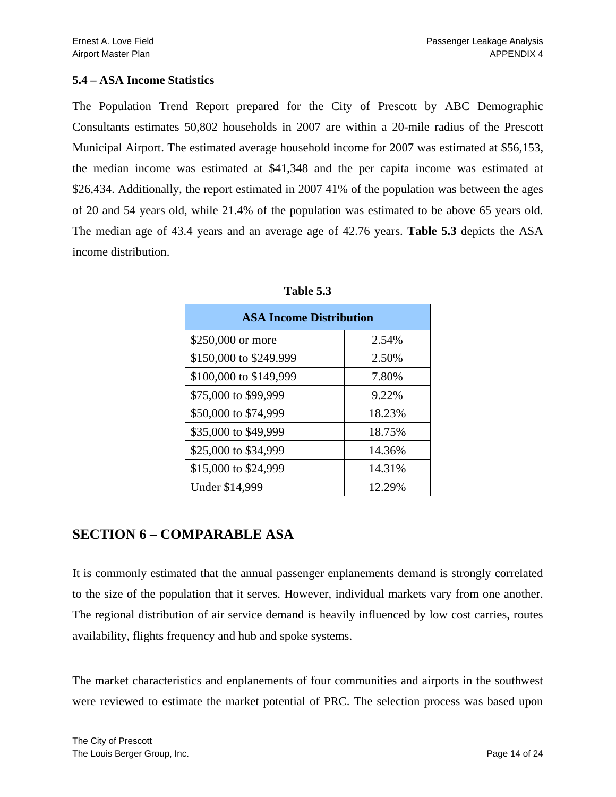#### **5.4 – ASA Income Statistics**

The Population Trend Report prepared for the City of Prescott by ABC Demographic Consultants estimates 50,802 households in 2007 are within a 20-mile radius of the Prescott Municipal Airport. The estimated average household income for 2007 was estimated at \$56,153, the median income was estimated at \$41,348 and the per capita income was estimated at \$26,434. Additionally, the report estimated in 2007 41% of the population was between the ages of 20 and 54 years old, while 21.4% of the population was estimated to be above 65 years old. The median age of 43.4 years and an average age of 42.76 years. **Table 5.3** depicts the ASA income distribution.

| <b>ASA Income Distribution</b> |        |  |  |  |  |  |  |
|--------------------------------|--------|--|--|--|--|--|--|
| \$250,000 or more              | 2.54%  |  |  |  |  |  |  |
| \$150,000 to \$249.999         | 2.50%  |  |  |  |  |  |  |
| \$100,000 to \$149,999         | 7.80%  |  |  |  |  |  |  |
| \$75,000 to \$99,999           | 9.22%  |  |  |  |  |  |  |
| \$50,000 to \$74,999           | 18.23% |  |  |  |  |  |  |
| \$35,000 to \$49,999           | 18.75% |  |  |  |  |  |  |
| \$25,000 to \$34,999           | 14.36% |  |  |  |  |  |  |
| \$15,000 to \$24,999           | 14.31% |  |  |  |  |  |  |
| Under \$14,999                 | 12.29% |  |  |  |  |  |  |

**Table 5.3** 

## **SECTION 6 – COMPARABLE ASA**

It is commonly estimated that the annual passenger enplanements demand is strongly correlated to the size of the population that it serves. However, individual markets vary from one another. The regional distribution of air service demand is heavily influenced by low cost carries, routes availability, flights frequency and hub and spoke systems.

The market characteristics and enplanements of four communities and airports in the southwest were reviewed to estimate the market potential of PRC. The selection process was based upon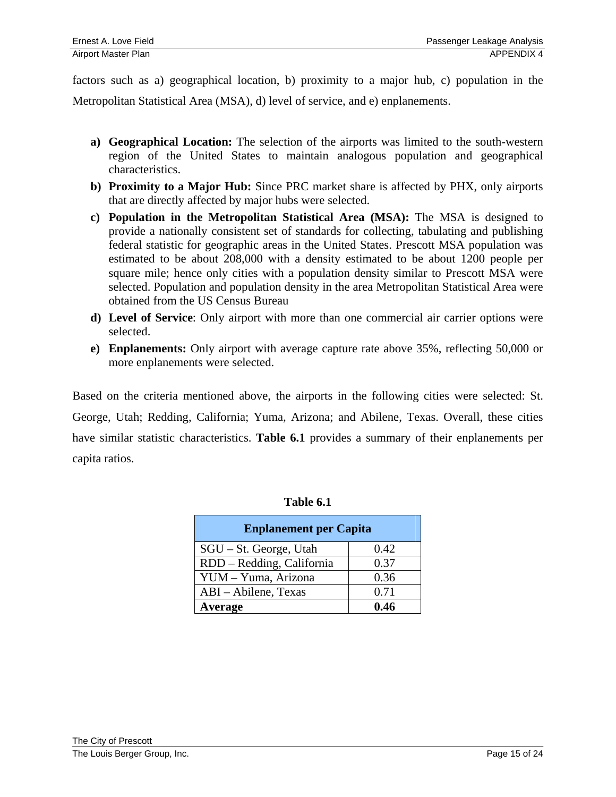factors such as a) geographical location, b) proximity to a major hub, c) population in the Metropolitan Statistical Area (MSA), d) level of service, and e) enplanements.

- **a) Geographical Location:** The selection of the airports was limited to the south-western region of the United States to maintain analogous population and geographical characteristics.
- **b) Proximity to a Major Hub:** Since PRC market share is affected by PHX, only airports that are directly affected by major hubs were selected.
- **c) Population in the Metropolitan Statistical Area (MSA):** The MSA is designed to provide a nationally consistent set of standards for collecting, tabulating and publishing federal statistic for geographic areas in the United States. Prescott MSA population was estimated to be about 208,000 with a density estimated to be about 1200 people per square mile; hence only cities with a population density similar to Prescott MSA were selected. Population and population density in the area Metropolitan Statistical Area were obtained from the US Census Bureau
- **d) Level of Service**: Only airport with more than one commercial air carrier options were selected.
- **e) Enplanements:** Only airport with average capture rate above 35%, reflecting 50,000 or more enplanements were selected.

Based on the criteria mentioned above, the airports in the following cities were selected: St. George, Utah; Redding, California; Yuma, Arizona; and Abilene, Texas. Overall, these cities have similar statistic characteristics. **Table 6.1** provides a summary of their enplanements per capita ratios.

| <b>Enplanement per Capita</b> |      |  |  |  |  |  |  |
|-------------------------------|------|--|--|--|--|--|--|
| SGU - St. George, Utah        | 0.42 |  |  |  |  |  |  |
| RDD - Redding, California     | 0.37 |  |  |  |  |  |  |
| YUM - Yuma, Arizona           | 0.36 |  |  |  |  |  |  |
| ABI - Abilene, Texas          | 0.71 |  |  |  |  |  |  |
| Average                       | 0.46 |  |  |  |  |  |  |

#### **Table 6.1**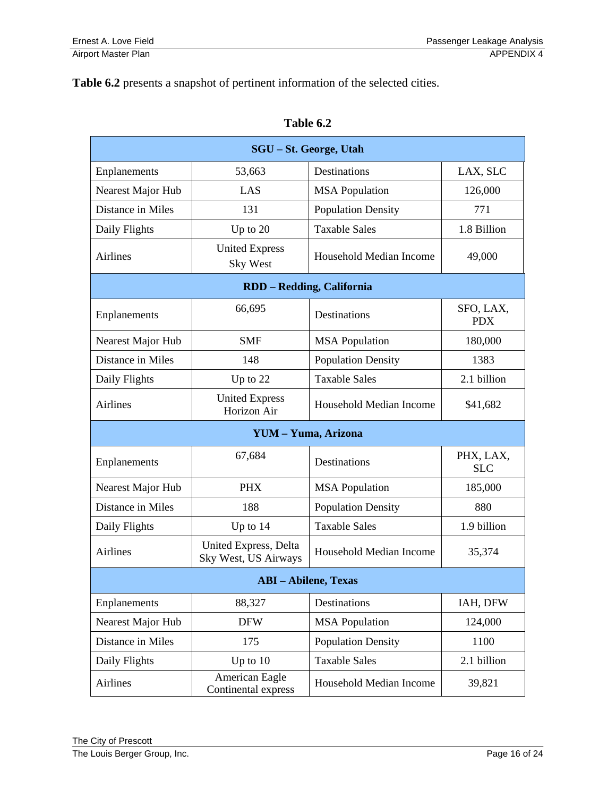**Table 6.2** presents a snapshot of pertinent information of the selected cities.

| SGU - St. George, Utah                                   |                                               |                                  |                         |  |  |  |  |  |
|----------------------------------------------------------|-----------------------------------------------|----------------------------------|-------------------------|--|--|--|--|--|
| Enplanements                                             | 53,663                                        | Destinations                     | LAX, SLC                |  |  |  |  |  |
| Nearest Major Hub                                        | LAS                                           |                                  | 126,000                 |  |  |  |  |  |
| Distance in Miles                                        | 131                                           | <b>Population Density</b>        | 771                     |  |  |  |  |  |
| Daily Flights                                            | Up to $20$                                    | <b>Taxable Sales</b>             | 1.8 Billion             |  |  |  |  |  |
| <b>Airlines</b>                                          | <b>United Express</b><br><b>Sky West</b>      | Household Median Income          | 49,000                  |  |  |  |  |  |
|                                                          |                                               | <b>RDD</b> - Redding, California |                         |  |  |  |  |  |
| Enplanements                                             | 66,695                                        | Destinations                     | SFO, LAX,<br><b>PDX</b> |  |  |  |  |  |
| Nearest Major Hub                                        | <b>SMF</b>                                    | <b>MSA</b> Population            | 180,000                 |  |  |  |  |  |
| Distance in Miles                                        | 148                                           | <b>Population Density</b>        | 1383                    |  |  |  |  |  |
| Daily Flights                                            | Up to 22                                      | <b>Taxable Sales</b>             |                         |  |  |  |  |  |
| <b>United Express</b><br><b>Airlines</b><br>Horizon Air  |                                               | Household Median Income          | \$41,682                |  |  |  |  |  |
|                                                          |                                               | YUM - Yuma, Arizona              |                         |  |  |  |  |  |
| Enplanements                                             | 67,684                                        | Destinations                     | PHX, LAX,<br><b>SLC</b> |  |  |  |  |  |
| Nearest Major Hub                                        | <b>PHX</b>                                    | <b>MSA</b> Population            | 185,000                 |  |  |  |  |  |
| Distance in Miles                                        | 188                                           | <b>Population Density</b>        | 880                     |  |  |  |  |  |
| Daily Flights                                            | Up to 14                                      | <b>Taxable Sales</b>             | 1.9 billion             |  |  |  |  |  |
| <b>Airlines</b>                                          | United Express, Delta<br>Sky West, US Airways | Household Median Income          | 35,374                  |  |  |  |  |  |
|                                                          |                                               | <b>ABI</b> - Abilene, Texas      |                         |  |  |  |  |  |
| Enplanements                                             | 88,327                                        | Destinations                     | IAH, DFW                |  |  |  |  |  |
| Nearest Major Hub                                        | <b>DFW</b>                                    | <b>MSA</b> Population            | 124,000                 |  |  |  |  |  |
| Distance in Miles                                        | 175                                           | <b>Population Density</b>        | 1100                    |  |  |  |  |  |
| Daily Flights                                            | Up to $10$                                    | <b>Taxable Sales</b>             | 2.1 billion             |  |  |  |  |  |
| American Eagle<br><b>Airlines</b><br>Continental express |                                               | Household Median Income          | 39,821                  |  |  |  |  |  |

# **Table 6.2**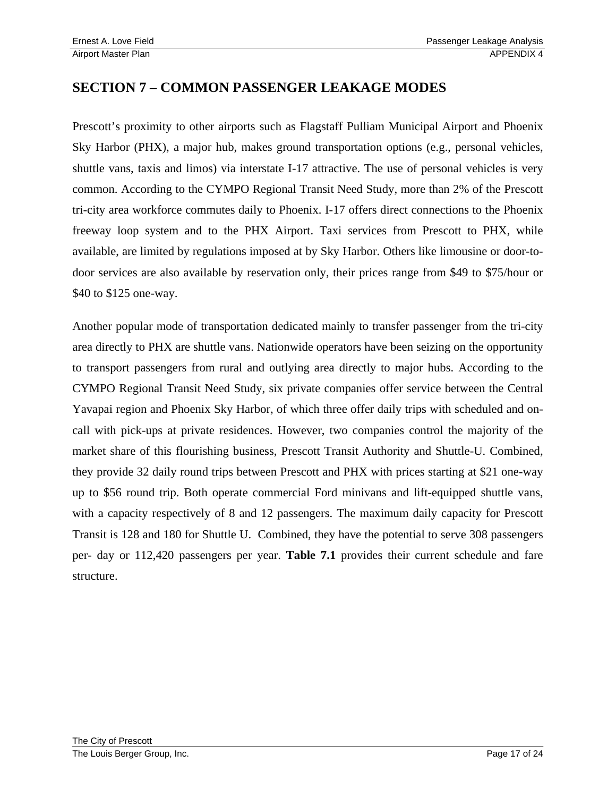### **SECTION 7 – COMMON PASSENGER LEAKAGE MODES**

Prescott's proximity to other airports such as Flagstaff Pulliam Municipal Airport and Phoenix Sky Harbor (PHX), a major hub, makes ground transportation options (e.g., personal vehicles, shuttle vans, taxis and limos) via interstate I-17 attractive. The use of personal vehicles is very common. According to the CYMPO Regional Transit Need Study, more than 2% of the Prescott tri-city area workforce commutes daily to Phoenix. I-17 offers direct connections to the Phoenix freeway loop system and to the PHX Airport. Taxi services from Prescott to PHX, while available, are limited by regulations imposed at by Sky Harbor. Others like limousine or door-todoor services are also available by reservation only, their prices range from \$49 to \$75/hour or \$40 to \$125 one-way.

Another popular mode of transportation dedicated mainly to transfer passenger from the tri-city area directly to PHX are shuttle vans. Nationwide operators have been seizing on the opportunity to transport passengers from rural and outlying area directly to major hubs. According to the CYMPO Regional Transit Need Study, six private companies offer service between the Central Yavapai region and Phoenix Sky Harbor, of which three offer daily trips with scheduled and oncall with pick-ups at private residences. However, two companies control the majority of the market share of this flourishing business, Prescott Transit Authority and Shuttle-U. Combined, they provide 32 daily round trips between Prescott and PHX with prices starting at \$21 one-way up to \$56 round trip. Both operate commercial Ford minivans and lift-equipped shuttle vans, with a capacity respectively of 8 and 12 passengers. The maximum daily capacity for Prescott Transit is 128 and 180 for Shuttle U. Combined, they have the potential to serve 308 passengers per- day or 112,420 passengers per year. **Table 7.1** provides their current schedule and fare structure.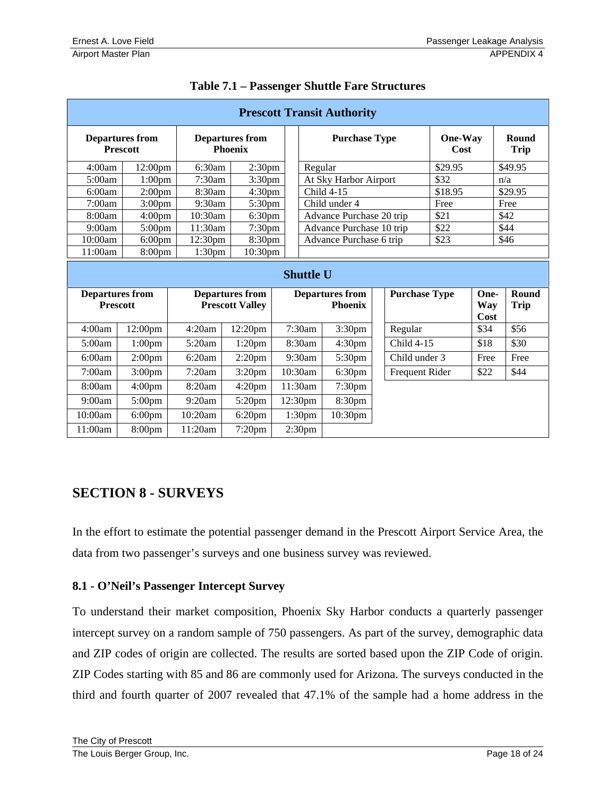| <b>Prescott Transit Authority</b>         |                                           |                    |                                                  |  |                     |                                          |  |                      |            |                             |         |                      |
|-------------------------------------------|-------------------------------------------|--------------------|--------------------------------------------------|--|---------------------|------------------------------------------|--|----------------------|------------|-----------------------------|---------|----------------------|
|                                           | <b>Departures from</b><br><b>Prescott</b> |                    | <b>Departures from</b><br><b>Phoenix</b>         |  |                     | <b>Purchase Type</b>                     |  | One-Way<br>Cost      |            | <b>Round</b><br><b>Trip</b> |         |                      |
| 4:00am                                    | 12:00 <sub>pm</sub>                       | 6:30am             | 2:30pm                                           |  | Regular             |                                          |  |                      | \$29.95    |                             |         | \$49.95              |
| 5:00am                                    | 1:00 <sub>pm</sub>                        | 7:30am             | 3:30 <sub>pm</sub>                               |  |                     | At Sky Harbor Airport                    |  |                      | \$32       |                             | n/a     |                      |
| 6:00am                                    | $2:00$ pm                                 | 8:30am             | 4:30 <sub>pm</sub>                               |  |                     | Child 4-15                               |  |                      | \$18.95    |                             | \$29.95 |                      |
| 7:00am                                    | 3:00pm                                    | 9:30am             | 5:30pm                                           |  |                     | Child under 4                            |  |                      | Free       |                             | Free    |                      |
| 8:00am                                    | 4:00 <sub>pm</sub>                        | 10:30am            | 6:30 <sub>pm</sub>                               |  |                     | Advance Purchase 20 trip                 |  |                      | \$21       |                             | \$42    |                      |
| 9:00am                                    | 5:00pm                                    | 11:30am            | 7:30pm                                           |  |                     | Advance Purchase 10 trip                 |  |                      | \$22       |                             | \$44    |                      |
| 10:00am                                   | 6:00pm                                    | 12:30pm            | 8:30pm                                           |  |                     | Advance Purchase 6 trip                  |  |                      |            | \$23                        |         | \$46                 |
| 11:00am                                   | 8:00 <sub>pm</sub>                        | 1:30 <sub>pm</sub> | 10:30pm                                          |  |                     |                                          |  |                      |            |                             |         |                      |
|                                           |                                           |                    |                                                  |  | <b>Shuttle U</b>    |                                          |  |                      |            |                             |         |                      |
| <b>Departures from</b><br><b>Prescott</b> |                                           |                    | <b>Departures from</b><br><b>Prescott Valley</b> |  |                     | <b>Departures from</b><br><b>Phoenix</b> |  | <b>Purchase Type</b> |            | One-<br>Way<br>Cost         |         | Round<br><b>Trip</b> |
| 4:00am                                    | 12:00 <sub>pm</sub>                       | 4:20am             | 12:20pm                                          |  | 7:30am              | 3:30 <sub>pm</sub>                       |  | Regular              |            | \$34                        |         | \$56                 |
| 5:00am                                    | 1:00 <sub>pm</sub>                        | 5:20am             | 1:20 <sub>pm</sub>                               |  | 8:30am              | 4:30 <sub>pm</sub>                       |  |                      | Child 4-15 |                             |         | \$30                 |
| 6:00am                                    | 2:00 <sub>pm</sub>                        | 6:20am             | $2:20$ pm                                        |  | 9:30am              | 5:30pm                                   |  | Child under 3        |            | Free                        |         | Free                 |
| 7:00am                                    | 3:00 <sub>pm</sub>                        | 7:20am             | 3:20 <sub>pm</sub>                               |  | 10:30am             | 6:30pm                                   |  | Frequent Rider       |            | \$22                        |         | \$44                 |
| 8:00am                                    | 4:00pm                                    | 8:20am             | 4:20 <sub>pm</sub>                               |  | 11:30am             | 7:30pm                                   |  |                      |            |                             |         |                      |
| 9:00am                                    | $5:00 \text{pm}$                          | 9:20am             | $5:20$ pm                                        |  | 12:30 <sub>pm</sub> | 8:30pm                                   |  |                      |            |                             |         |                      |
| 10:00am                                   | $6:00$ pm                                 | $10:20$ am         | $6:20$ pm                                        |  | 1:30 <sub>pm</sub>  | 10:30pm                                  |  |                      |            |                             |         |                      |
| 11:00am                                   | 8:00 <sub>pm</sub>                        | 11:20am            | $7:20$ pm                                        |  | 2:30 <sub>pm</sub>  |                                          |  |                      |            |                             |         |                      |

### **SECTION 8 - SURVEYS**

In the effort to estimate the potential passenger demand in the Prescott Airport Service Area, the data from two passenger's surveys and one business survey was reviewed.

#### **8.1 - O'Neil's Passenger Intercept Survey**

To understand their market composition, Phoenix Sky Harbor conducts a quarterly passenger intercept survey on a random sample of 750 passengers. As part of the survey, demographic data and ZIP codes of origin are collected. The results are sorted based upon the ZIP Code of origin. ZIP Codes starting with 85 and 86 are commonly used for Arizona. The surveys conducted in the third and fourth quarter of 2007 revealed that 47.1% of the sample had a home address in the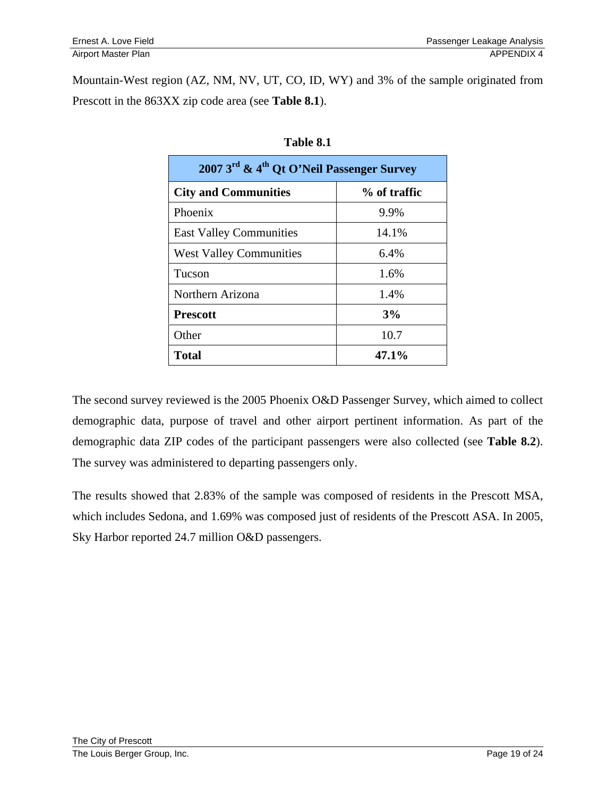Mountain-West region (AZ, NM, NV, UT, CO, ID, WY) and 3% of the sample originated from Prescott in the 863XX zip code area (see **Table 8.1**).

| 2007 3 <sup>rd</sup> & 4 <sup>th</sup> Qt O'Neil Passenger Survey |              |  |
|-------------------------------------------------------------------|--------------|--|
| <b>City and Communities</b>                                       | % of traffic |  |
| Phoenix                                                           | 9.9%         |  |
| <b>East Valley Communities</b>                                    | 14.1%        |  |
| <b>West Valley Communities</b>                                    | 6.4%         |  |
| Tucson                                                            | 1.6%         |  |
| Northern Arizona                                                  | 1.4%         |  |
| <b>Prescott</b>                                                   | 3%           |  |
| Other                                                             | 10.7         |  |
| <b>Total</b>                                                      | 47.1%        |  |

| <b>Table 8.1</b> |  |
|------------------|--|
|                  |  |

The second survey reviewed is the 2005 Phoenix O&D Passenger Survey, which aimed to collect demographic data, purpose of travel and other airport pertinent information. As part of the demographic data ZIP codes of the participant passengers were also collected (see **Table 8.2**). The survey was administered to departing passengers only.

The results showed that 2.83% of the sample was composed of residents in the Prescott MSA, which includes Sedona, and 1.69% was composed just of residents of the Prescott ASA. In 2005, Sky Harbor reported 24.7 million O&D passengers.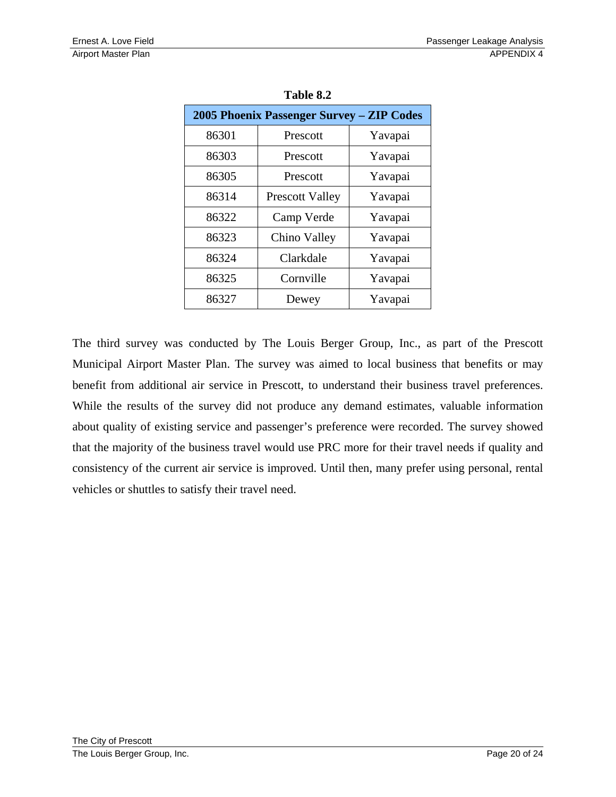| 2005 Phoenix Passenger Survey - ZIP Codes |                        |         |  |  |
|-------------------------------------------|------------------------|---------|--|--|
| 86301                                     | Prescott               | Yavapai |  |  |
| 86303                                     | Prescott               | Yavapai |  |  |
| 86305                                     | Prescott               | Yavapai |  |  |
| 86314                                     | <b>Prescott Valley</b> | Yavapai |  |  |
| 86322                                     | Camp Verde             | Yavapai |  |  |
| 86323                                     | Chino Valley           | Yavapai |  |  |
| 86324                                     | Clarkdale              | Yavapai |  |  |
| 86325                                     | Cornville              | Yavapai |  |  |
| 86327                                     | Dewey                  | Yavapai |  |  |

The third survey was conducted by The Louis Berger Group, Inc., as part of the Prescott Municipal Airport Master Plan. The survey was aimed to local business that benefits or may benefit from additional air service in Prescott, to understand their business travel preferences. While the results of the survey did not produce any demand estimates, valuable information about quality of existing service and passenger's preference were recorded. The survey showed that the majority of the business travel would use PRC more for their travel needs if quality and consistency of the current air service is improved. Until then, many prefer using personal, rental vehicles or shuttles to satisfy their travel need.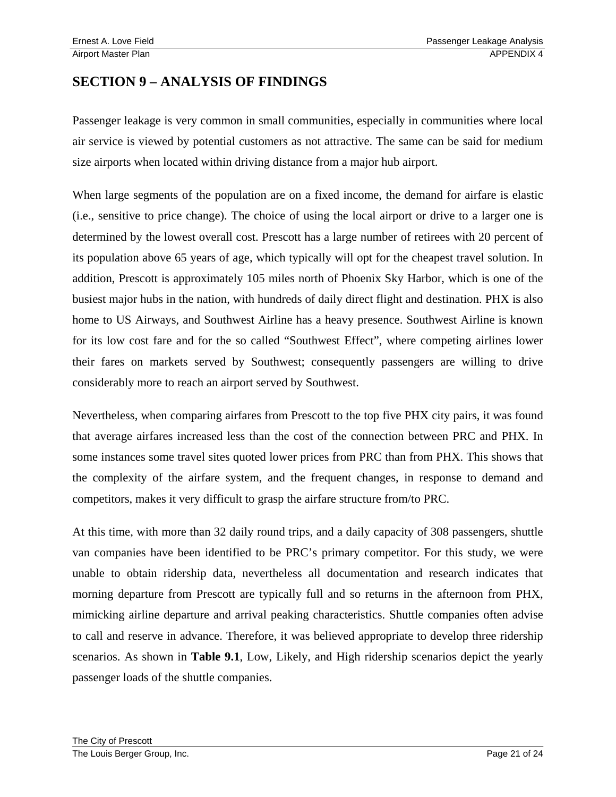### **SECTION 9 – ANALYSIS OF FINDINGS**

Passenger leakage is very common in small communities, especially in communities where local air service is viewed by potential customers as not attractive. The same can be said for medium size airports when located within driving distance from a major hub airport.

When large segments of the population are on a fixed income, the demand for airfare is elastic (i.e., sensitive to price change). The choice of using the local airport or drive to a larger one is determined by the lowest overall cost. Prescott has a large number of retirees with 20 percent of its population above 65 years of age, which typically will opt for the cheapest travel solution. In addition, Prescott is approximately 105 miles north of Phoenix Sky Harbor, which is one of the busiest major hubs in the nation, with hundreds of daily direct flight and destination. PHX is also home to US Airways, and Southwest Airline has a heavy presence. Southwest Airline is known for its low cost fare and for the so called "Southwest Effect", where competing airlines lower their fares on markets served by Southwest; consequently passengers are willing to drive considerably more to reach an airport served by Southwest.

Nevertheless, when comparing airfares from Prescott to the top five PHX city pairs, it was found that average airfares increased less than the cost of the connection between PRC and PHX. In some instances some travel sites quoted lower prices from PRC than from PHX. This shows that the complexity of the airfare system, and the frequent changes, in response to demand and competitors, makes it very difficult to grasp the airfare structure from/to PRC.

At this time, with more than 32 daily round trips, and a daily capacity of 308 passengers, shuttle van companies have been identified to be PRC's primary competitor. For this study, we were unable to obtain ridership data, nevertheless all documentation and research indicates that morning departure from Prescott are typically full and so returns in the afternoon from PHX, mimicking airline departure and arrival peaking characteristics. Shuttle companies often advise to call and reserve in advance. Therefore, it was believed appropriate to develop three ridership scenarios. As shown in **Table 9.1**, Low, Likely, and High ridership scenarios depict the yearly passenger loads of the shuttle companies.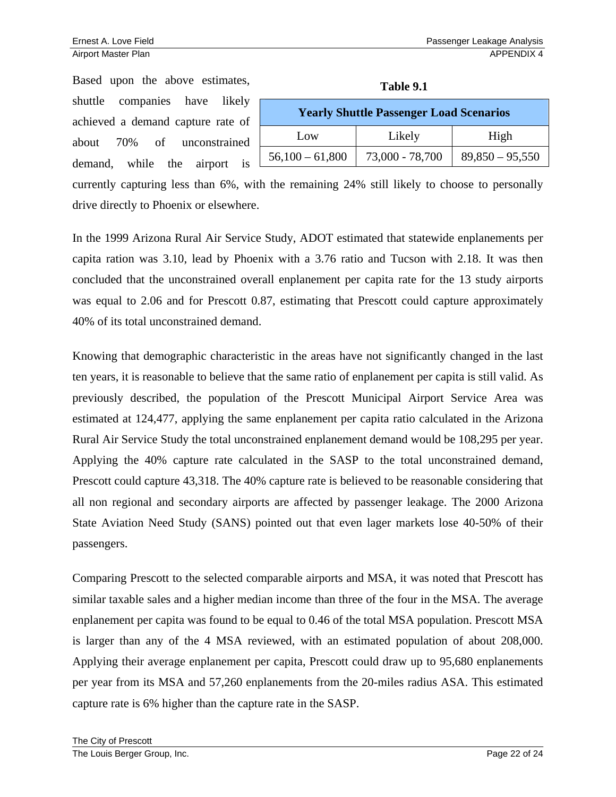Based upon the above estimates,

shuttle companies have likely achieved a demand capture rate of about 70% of unconstrained demand, while the airport is

| таніе 9.1                                      |                 |                   |  |  |  |
|------------------------------------------------|-----------------|-------------------|--|--|--|
| <b>Yearly Shuttle Passenger Load Scenarios</b> |                 |                   |  |  |  |
| Low                                            | Likely          | High              |  |  |  |
| $56,100 - 61,800$                              | 73,000 - 78,700 | $89,850 - 95,550$ |  |  |  |

**Table 9.1** 

currently capturing less than 6%, with the remaining 24% still likely to choose to personally drive directly to Phoenix or elsewhere.

In the 1999 Arizona Rural Air Service Study, ADOT estimated that statewide enplanements per capita ration was 3.10, lead by Phoenix with a 3.76 ratio and Tucson with 2.18. It was then concluded that the unconstrained overall enplanement per capita rate for the 13 study airports was equal to 2.06 and for Prescott 0.87, estimating that Prescott could capture approximately 40% of its total unconstrained demand.

Knowing that demographic characteristic in the areas have not significantly changed in the last ten years, it is reasonable to believe that the same ratio of enplanement per capita is still valid. As previously described, the population of the Prescott Municipal Airport Service Area was estimated at 124,477, applying the same enplanement per capita ratio calculated in the Arizona Rural Air Service Study the total unconstrained enplanement demand would be 108,295 per year. Applying the 40% capture rate calculated in the SASP to the total unconstrained demand, Prescott could capture 43,318. The 40% capture rate is believed to be reasonable considering that all non regional and secondary airports are affected by passenger leakage. The 2000 Arizona State Aviation Need Study (SANS) pointed out that even lager markets lose 40-50% of their passengers.

Comparing Prescott to the selected comparable airports and MSA, it was noted that Prescott has similar taxable sales and a higher median income than three of the four in the MSA. The average enplanement per capita was found to be equal to 0.46 of the total MSA population. Prescott MSA is larger than any of the 4 MSA reviewed, with an estimated population of about 208,000. Applying their average enplanement per capita, Prescott could draw up to 95,680 enplanements per year from its MSA and 57,260 enplanements from the 20-miles radius ASA. This estimated capture rate is 6% higher than the capture rate in the SASP.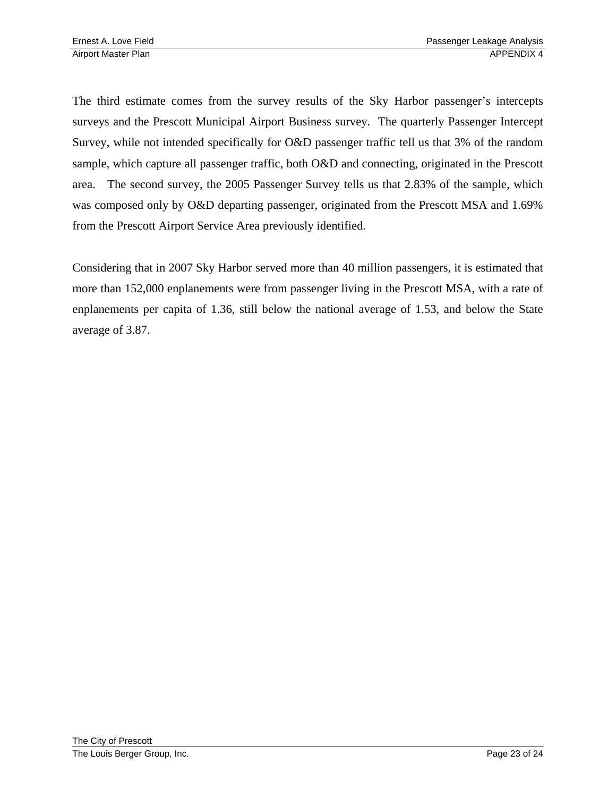The third estimate comes from the survey results of the Sky Harbor passenger's intercepts surveys and the Prescott Municipal Airport Business survey. The quarterly Passenger Intercept Survey, while not intended specifically for O&D passenger traffic tell us that 3% of the random sample, which capture all passenger traffic, both O&D and connecting, originated in the Prescott area. The second survey, the 2005 Passenger Survey tells us that 2.83% of the sample, which was composed only by O&D departing passenger, originated from the Prescott MSA and 1.69% from the Prescott Airport Service Area previously identified.

Considering that in 2007 Sky Harbor served more than 40 million passengers, it is estimated that more than 152,000 enplanements were from passenger living in the Prescott MSA, with a rate of enplanements per capita of 1.36, still below the national average of 1.53, and below the State average of 3.87.